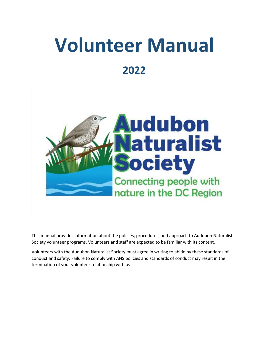# **Volunteer Manual 2022**



This manual provides information about the policies, procedures, and approach to Audubon Naturalist Society volunteer programs. Volunteers and staff are expected to be familiar with its content.

Volunteers with the Audubon Naturalist Society must agree in writing to abide by these standards of conduct and safety. Failure to comply with ANS policies and standards of conduct may result in the termination of your volunteer relationship with us.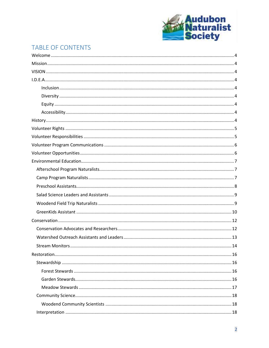

# TABLE OF CONTENTS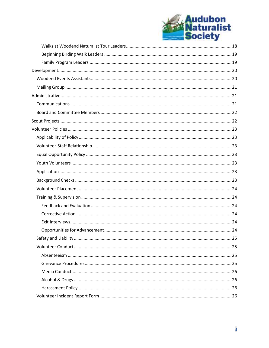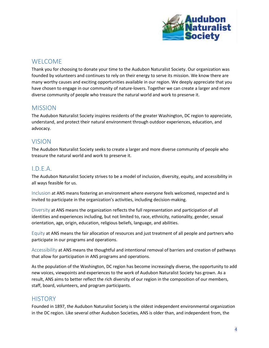

# <span id="page-3-0"></span>**WELCOME**

Thank you for choosing to donate your time to the Audubon Naturalist Society. Our organization was founded by volunteers and continues to rely on their energy to serve its mission. We know there are many worthy causes and exciting opportunities available in our region. We deeply appreciate that you have chosen to engage in our community of nature-lovers. Together we can create a larger and more diverse community of people who treasure the natural world and work to preserve it.

# <span id="page-3-1"></span>MISSION

The Audubon Naturalist Society inspires residents of the greater Washington, DC region to appreciate, understand, and protect their natural environment through outdoor experiences, education, and advocacy.

# <span id="page-3-2"></span>VISION

The Audubon Naturalist Society seeks to create a larger and more diverse community of people who treasure the natural world and work to preserve it.

# <span id="page-3-3"></span>I.D.E.A.

The Audubon Naturalist Society strives to be a model of inclusion, diversity, equity, and accessibility in all ways feasible for us.

<span id="page-3-4"></span>Inclusion at ANS means fostering an environment where everyone feels welcomed, respected and is invited to participate in the organization's activities, including decision-making.

<span id="page-3-5"></span>Diversity at ANS means the organization reflects the full representation and participation of all identities and experiences including, but not limited to, race, ethnicity, nationality, gender, sexual orientation, age, origin, education, religious beliefs, language, and abilities.

<span id="page-3-6"></span>Equity at ANS means the fair allocation of resources and just treatment of all people and partners who participate in our programs and operations.

<span id="page-3-7"></span>Accessibility at ANS means the thoughtful and intentional removal of barriers and creation of pathways that allow for participation in ANS programs and operations.

As the population of the Washington, DC region has become increasingly diverse, the opportunity to add new voices, viewpoints and experiences to the work of Audubon Naturalist Society has grown. As a result, ANS aims to better reflect the rich diversity of our region in the composition of our members, staff, board, volunteers, and program participants.

# <span id="page-3-8"></span>**HISTORY**

Founded in 1897, the Audubon Naturalist Society is the oldest independent environmental organization in the DC region. Like several other Audubon Societies, ANS is older than, and independent from, the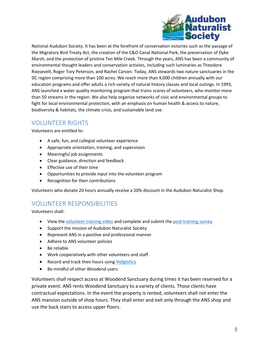

National Audubon Society. It has been at the forefront of conservation victories such as the passage of the Migratory Bird Treaty Act, the creation of the C&O Canal National Park, the preservation of Dyke Marsh, and the protection of pristine Ten Mile Creek. Through the years, ANS has been a community of environmental thought leaders and conservation activists, including such luminaries as Theodore Roosevelt, Roger Tory Peterson, and Rachel Carson. Today, ANS stewards two nature sanctuaries in the DC region comprising more than 100 acres. We reach more than 9,000 children annually with our education programs and offer adults a rich variety of natural history classes and local outings. In 1993, ANS launched a water quality monitoring program that trains scores of volunteers, who monitor more than 50 streams in the region. We also help organize networks of civic and environmental groups to fight for local environmental protection, with an emphasis on human health & access to nature, biodiversity & habitats, the climate crisis, and sustainable land use.

# <span id="page-4-0"></span>VOLUNTEER RIGHTS

Volunteers are entitled to:

- A safe, fun, and collegial volunteer experience
- Appropriate orientation, training, and supervision
- Meaningful job assignments
- Clear guidance, direction and feedback
- Effective use of their time
- Opportunities to provide input into the volunteer program
- Recognition for their contributions

Volunteers who donate 20 hours annually receive a 20% discount in the Audubon Naturalist Shop.

# <span id="page-4-1"></span>VOLUNTEER RESPONSIBILITIES

Volunteers shall:

- View the [volunteer training video](https://www.youtube.com/watch?v=qHT-TwjwyaM&feature=youtu.be) and complete and submit the [post-training survey](https://forms.office.com/r/27FDMxp8Pp)
- Support the mission of Audubon Naturalist Society
- Represent ANS in a positive and professional manner
- Adhere to ANS volunteer policies
- Be reliable
- Work cooperatively with other volunteers and staff
- Record and track their hours using [Volgistics](https://www.volgistics.com/vicnet/180592/login)
- Be mindful of other Woodend users

Volunteers shall respect access at Woodend Sanctuary during times it has been reserved for a private event. ANS rents Woodend Sanctuary to a variety of clients. Those clients have contractual expectations. In the event the property is rented, volunteers shall not enter the ANS mansion outside of shop hours. They shall enter and exit only through the ANS shop and use the back stairs to access upper floors.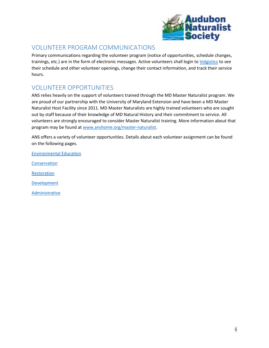

# <span id="page-5-0"></span>VOLUNTEER PROGRAM COMMUNICATIONS

Primary communications regarding the volunteer program (notice of opportunities, schedule changes, trainings, etc.) are in the form of electronic messages. Active volunteers shall login t[o Volgistics](https://www.volgistics.com/vicnet/180592/login) to see their schedule and other volunteer openings, change their contact information, and track their service hours.

# <span id="page-5-1"></span>VOLUNTEER OPPORTUNITIES

ANS relies heavily on the support of volunteers trained through the MD Master Naturalist program. We are proud of our partnership with the University of Maryland Extension and have been a MD Master Naturalist Host Facility since 2011. MD Master Naturalists are highly trained volunteers who are sought out by staff because of their knowledge of MD Natural History and their commitment to service. All volunteers are strongly encouraged to consider Master Naturalist training. More information about that program may be found a[t www.anshome.org/master-naturalist.](http://www.anshome.org/master-naturalist)

ANS offers a variety of volunteer opportunities. Details about each volunteer assignment can be found on the following pages.

[Environmental Education](#page-6-0)

[Conservation](#page-11-0)

**[Restoration](#page-15-0)** 

[Development](#page-19-0)

**[Administrative](#page-20-1)**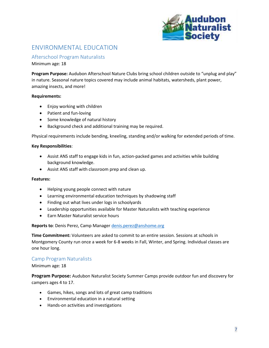

# <span id="page-6-0"></span>ENVIRONMENTAL EDUCATION

<span id="page-6-1"></span>Afterschool Program Naturalists

Minimum age: 18

**Program Purpose:** Audubon Afterschool Nature Clubs bring school children outside to "unplug and play" in nature. Seasonal nature topics covered may include animal habitats, watersheds, plant power, amazing insects, and more!

#### **Requirements:**

- Enjoy working with children
- Patient and fun-loving
- Some knowledge of natural history
- Background check and additional training may be required.

Physical requirements include bending, kneeling, standing and/or walking for extended periods of time.

#### **Key Responsibilities**:

- Assist ANS staff to engage kids in fun, action-packed games and activities while building background knowledge.
- Assist ANS staff with classroom prep and clean up.

#### **Features:**

- Helping young people connect with nature
- Learning environmental education techniques by shadowing staff
- Finding out what lives under logs in schoolyards
- Leadership opportunities available for Master Naturalists with teaching experience
- Earn Master Naturalist service hours

**Reports to**: Denis Perez, Camp Manager [denis.perez@anshome.org](mailto:denis.perez@anshome.org)

**Time Commitment:** Volunteers are asked to commit to an entire session. Sessions at schools in Montgomery County run once a week for 6-8 weeks in Fall, Winter, and Spring. Individual classes are one hour long.

#### <span id="page-6-2"></span>Camp Program Naturalists

Minimum age: 18

**Program Purpose:** Audubon Naturalist Society Summer Camps provide outdoor fun and discovery for campers ages 4 to 17.

- Games, hikes, songs and lots of great camp traditions
- Environmental education in a natural setting
- Hands-on activities and investigations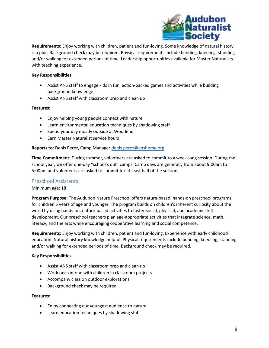

**Requirements:** Enjoy working with children, patient and fun-loving. Some knowledge of natural history is a plus. Background check may be required. Physical requirements include bending, kneeling, standing and/or walking for extended periods of time. Leadership opportunities available for Master Naturalists with teaching experience.

#### **Key Responsibilities**:

- Assist ANS staff to engage kids in fun, action-packed games and activities while building background knowledge
- Assist ANS staff with classroom prep and clean up

#### **Features:**

- Enjoy helping young people connect with nature
- Learn environmental education techniques by shadowing staff
- Spend your day mostly outside at Woodend
- Earn Master Naturalist service hours

#### **Reports to**: Denis Perez, Camp Manage[r denis.perez@anshome.org](mailto:denis.perez@anshome.org)

**Time Commitment:** During summer, volunteers are asked to commit to a week-long session. During the school year, we offer one-day "school's out" camps. Camp days are generally from about 9:00am to 5:00pm and volunteers are asked to commit for at least half of the session.

#### <span id="page-7-0"></span>Preschool Assistants

#### Minimum age: 18

**Program Purpose:** The Audubon Nature Preschool offers nature-based, hands-on preschool programs for children 5 years of age and younger. The program builds on children's inherent curiosity about the world by using hands-on, nature-based activities to foster social, physical, and academic skill development. Our preschool teachers plan age-appropriate activities that integrate science, math, literacy, and the arts while encouraging cooperative learning and social competence.

**Requirements:** Enjoy working with children, patient and fun-loving. Experience with early childhood education. Natural history knowledge helpful. Physical requirements include bending, kneeling, standing and/or walking for extended periods of time. Background check may be required.

#### **Key Responsibilities**:

- Assist ANS staff with classroom prep and clean up
- Work one-on-one with children in classroom projects
- Accompany class on outdoor explorations
- Background check may be required

- Enjoy connecting our youngest audience to nature
- Learn education techniques by shadowing staff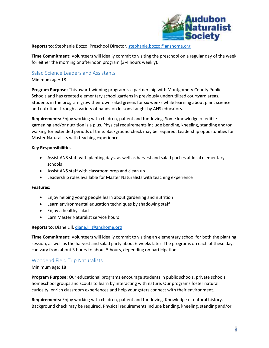

#### **Reports to**: Stephanie Bozzo, Preschool Director, [stephanie.bozzo@anshome.org](mailto:stephanie.bozzo@anshome.org)

**Time Commitment:** Volunteers will ideally commit to visiting the preschool on a regular day of the week for either the morning or afternoon program (3-4 hours weekly).

#### <span id="page-8-0"></span>Salad Science Leaders and Assistants

#### Minimum age: 18

**Program Purpose:** This award-winning program is a partnership with Montgomery County Public Schools and has created elementary school gardens in previously underutilized courtyard areas. Students in the program grow their own salad greens for six weeks while learning about plant science and nutrition through a variety of hands-on lessons taught by ANS educators.

**Requirements:** Enjoy working with children, patient and fun-loving. Some knowledge of edible gardening and/or nutrition is a plus. Physical requirements include bending, kneeling, standing and/or walking for extended periods of time. Background check may be required. Leadership opportunities for Master Naturalists with teaching experience.

#### **Key Responsibilities**:

- Assist ANS staff with planting days, as well as harvest and salad parties at local elementary schools
- Assist ANS staff with classroom prep and clean up
- Leadership roles available for Master Naturalists with teaching experience

#### **Features:**

- Enjoy helping young people learn about gardening and nutrition
- Learn environmental education techniques by shadowing staff
- Enjoy a healthy salad
- Earn Master Naturalist service hours

#### **Reports to**: Diane Lill, [diane.lill@anshome.org](mailto:diane.lill@anshome.org)

**Time Commitment:** Volunteers will ideally commit to visiting an elementary school for both the planting session, as well as the harvest and salad party about 6 weeks later. The programs on each of these days can vary from about 3 hours to about 5 hours, depending on participation.

#### <span id="page-8-1"></span>Woodend Field Trip Naturalists

#### Minimum age: 18

**Program Purpose:** Our educational programs encourage students in public schools, private schools, homeschool groups and scouts to learn by interacting with nature. Our programs foster natural curiosity, enrich classroom experiences and help youngsters connect with their environment.

**Requirements:** Enjoy working with children, patient and fun-loving. Knowledge of natural history. Background check may be required. Physical requirements include bending, kneeling, standing and/or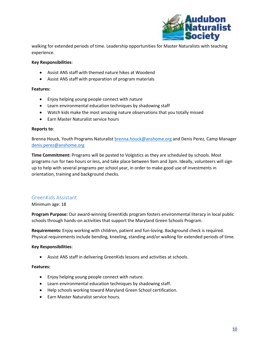

walking for extended periods of time. Leadership opportunities for Master Naturalists with teaching experience.

#### **Key Responsibilities**:

- Assist ANS staff with themed nature hikes at Woodend
- Assist ANS staff with preparation of program materials

#### **Features:**

- Enjoy helping young people connect with nature
- Learn environmental education techniques by shadowing staff
- Watch kids make the most amazing nature observations that you totally missed
- Earn Master Naturalist service hours

#### **Reports to**:

Brenna Houck, Youth Programs Naturalis[t brenna.houck@anshome.org](mailto:brenna.houck@anshome.org) and Denis Perez, Camp Manager [denis.perez@anshome.org](mailto:denis.perez@anshome.org)

**Time Commitment:** Programs will be posted to Volgistics as they are scheduled by schools. Most programs run for two hours or less, and take place between 9am and 3pm. Ideally, volunteers will sign up to help with several programs per school year, in order to make good use of investments in orientation, training and background checks.

#### <span id="page-9-0"></span>GreenKids Assistant

Minimum age: 18

**Program Purpose:** Our award-winning GreenKids program fosters environmental literacy in local public schools through hands-on activities that support the Maryland Green Schools Program.

**Requirements:** Enjoy working with children, patient and fun-loving. Background check is required. Physical requirements include bending, kneeling, standing and/or walking for extended periods of time.

#### **Key Responsibilities**:

• Assist ANS staff in delivering GreenKids lessons and activities at schools.

- Enjoy helping young people connect with nature.
- Learn environmental education techniques by shadowing staff.
- Help schools working toward Maryland Green School certification.
- Earn Master Naturalist service hours.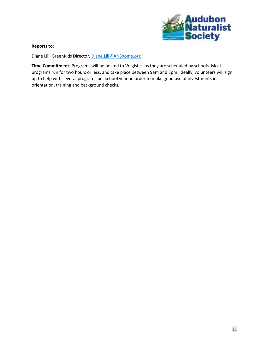

#### **Reports to**:

Diane Lill, GreenKids Director,<Diane.Lill@ANShome.org>

**Time Commitment:** Programs will be posted to Volgistics as they are scheduled by schools. Most programs run for two hours or less, and take place between 9am and 3pm. Ideally, volunteers will sign up to help with several programs per school year, in order to make good use of investments in orientation, training and background checks.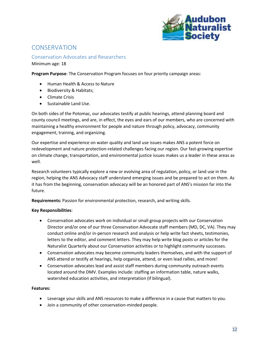

# <span id="page-11-0"></span>**CONSERVATION**

<span id="page-11-1"></span>Conservation Advocates and Researchers Minimum age: 18

**Program Purpose**: The Conservation Program focuses on four priority campaign areas:

- Human Health & Access to Nature
- Biodiversity & Habitats;
- Climate Crisis
- Sustainable Land Use.

On both sides of the Potomac, our advocates testify at public hearings, attend planning board and county council meetings, and are, in effect, the eyes and ears of our members, who are concerned with maintaining a healthy environment for people and nature through policy, advocacy, community engagement, training, and organizing.

Our expertise and experience on water quality and land use issues makes ANS a potent force on redevelopment and nature protection-related challenges facing our region. Our fast-growing expertise on climate change, transportation, and environmental justice issues makes us a leader in these areas as well.

Research volunteers typically explore a new or evolving area of regulation, policy, or land use in the region, helping the ANS Advocacy staff understand emerging issues and be prepared to act on them. As it has from the beginning, conservation advocacy will be an honored part of ANS's mission far into the future.

**Requirements:** Passion for environmental protection, research, and writing skills.

#### **Key Responsibilities**:

- Conservation advocates work on individual or small group projects with our Conservation Director and/or one of our three Conservation Advocate staff members (MD, DC, VA). They may conduct online and/or in-person research and analysis or help write fact sheets, testimonies, letters to the editor, and comment letters. They may help write blog posts or articles for the Naturalist Quarterly about our Conservation activities or to highlight community successes.
- Conservation advocates may become community leaders themselves, and with the support of ANS attend or testify at hearings, help organize, attend, or even lead rallies, and more!
- Conservation advocates lead and assist staff members during community outreach events located around the DMV. Examples include: staffing an information table, nature walks, watershed education activities, and interpretation (if bilingual).

- Leverage your skills and ANS resources to make a difference in a cause that matters to you.
- Join a community of other conservation-minded people.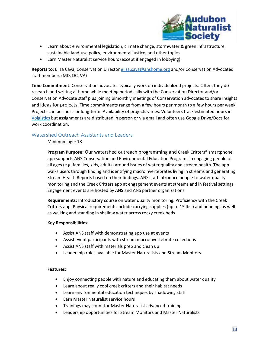

- Learn about environmental legislation, climate change, stormwater & green infrastructure, sustainable land-use policy, environmental justice, and other topics
- Earn Master Naturalist service hours (except if engaged in lobbying)

**Reports to**: Eliza Cava, Conservation Director [eliza.cava@anshome.org](mailto:eliza.cava@anshome.org) and/or Conservation Advocates staff members (MD, DC, VA)

**Time Commitment:** Conservation advocates typically work on individualized projects. Often, they do research and writing at home while meeting periodically with the Conservation Director and/or Conservation Advocate staff plus joining bimonthly meetings of Conservation advocates to share insights and ideas for projects. Time commitments range from a few hours per month to a few hours per week. Projects can be short- or long-term. Availability of projects varies. Volunteers track estimated hours in [Volgistics](https://www.volgistics.com/vicnet/180592/login) but assignments are distributed in person or via email and often use Google Drive/Docs for work coordination.

## <span id="page-12-0"></span>Watershed Outreach Assistants and Leaders

Minimum age: 18

**Program Purpose:** Our watershed outreach programming and Creek Critters® smartphone app supports ANS Conservation and Environmental Education Programs in engaging people of all ages (e.g. families, kids, adults) around issues of water quality and stream health. The app walks users through finding and identifying macroinvertebrates living in streams and generating Stream Health Reports based on their findings. ANS staff introduce people to water quality monitoring and the Creek Critters app at engagement events at streams and in festival settings. Engagement events are hosted by ANS and ANS partner organizations.

**Requirements:** Introductory course on water quality monitoring. Proficiency with the Creek Critters app. Physical requirements include carrying supplies (up to 15 lbs.) and bending, as well as walking and standing in shallow water across rocky creek beds.

#### **Key Responsibilities:**

- Assist ANS staff with demonstrating app use at events
- Assist event participants with stream macroinvertebrate collections
- Assist ANS staff with materials prep and clean up
- Leadership roles available for Master Naturalists and Stream Monitors.

- Enjoy connecting people with nature and educating them about water quality
- Learn about really cool creek critters and their habitat needs
- Learn environmental education techniques by shadowing staff
- Earn Master Naturalist service hours
- Trainings may count for Master Naturalist advanced training
- Leadership opportunities for Stream Monitors and Master Naturalists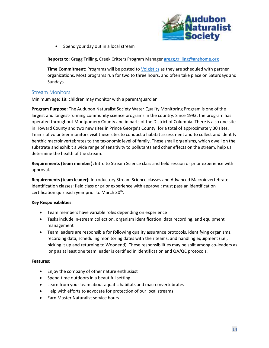

• Spend your day out in a local stream

**Reports to**: Gregg Trilling, Creek Critters Program Manager [gregg.trilling@anshome.org](mailto:gregg.trilling@anshome.org)

**Time Commitment:** Programs will be posted to [Volgistics](https://www.volgistics.com/vicnet/180592/login) as they are scheduled with partner organizations. Most programs run for two to three hours, and often take place on Saturdays and Sundays.

## <span id="page-13-0"></span>Stream Monitors

Minimum age: 18; children may monitor with a parent/guardian

**Program Purpose:** The Audubon Naturalist Society Water Quality Monitoring Program is one of the largest and longest-running community science programs in the country. Since 1993, the program has operated throughout Montgomery County and in parts of the District of Columbia. There is also one site in Howard County and two new sites in Prince George's County, for a total of approximately 30 sites. Teams of volunteer monitors visit these sites to conduct a habitat assessment and to collect and identify benthic macroinvertebrates to the taxonomic level of family. These small organisms, which dwell on the substrate and exhibit a wide range of sensitivity to pollutants and other effects on the stream, help us determine the health of the stream.

**Requirements (team member):** Intro to Stream Science class and field session or prior experience with approval.

**Requirements (team leader):** Introductory Stream Science classes and Advanced Macroinvertebrate Identification classes; field class or prior experience with approval; must pass an identification certification quiz each year prior to March 30<sup>th</sup>.

#### **Key Responsibilities**:

- Team members have variable roles depending on experience
- Tasks include in-stream collection, organism identification, data recording, and equipment management
- Team leaders are responsible for following quality assurance protocols, identifying organisms, recording data, scheduling monitoring dates with their teams, and handling equipment (i.e., picking it up and returning to Woodend). These responsibilities may be split among co-leaders as long as at least one team leader is certified in identification and QA/QC protocols.

- Enjoy the company of other nature enthusiast
- Spend time outdoors in a beautiful setting
- Learn from your team about aquatic habitats and macroinvertebrates
- Help with efforts to advocate for protection of our local streams
- Earn Master Naturalist service hours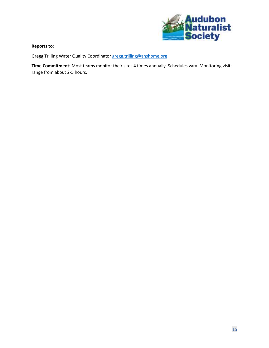

#### **Reports to**:

Gregg Trilling Water Quality Coordinato[r gregg.trilling@anshome.org](mailto:gregg.trilling@anshome.org)

**Time Commitment:** Most teams monitor their sites 4 times annually. Schedules vary. Monitoring visits range from about 2-5 hours.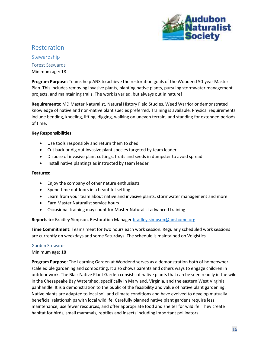

# <span id="page-15-0"></span>Restoration

<span id="page-15-2"></span><span id="page-15-1"></span>Stewardship Forest Stewards Minimum age: 18

**Program Purpose:** Teams help ANS to achieve the restoration goals of the Woodend 50-year Master Plan. This includes removing invasive plants, planting native plants, pursuing stormwater management projects, and maintaining trails. The work is varied, but always out in nature!

**Requirements:** MD Master Naturalist, Natural History Field Studies, Weed Warrior or demonstrated knowledge of native and non-native plant species preferred. Training is available. Physical requirements include bending, kneeling, lifting, digging, walking on uneven terrain, and standing for extended periods of time.

#### **Key Responsibilities**:

- Use tools responsibly and return them to shed
- Cut back or dig out invasive plant species targeted by team leader
- Dispose of invasive plant cuttings, fruits and seeds in dumpster to avoid spread
- Install native plantings as instructed by team leader

#### **Features:**

- Enjoy the company of other nature enthusiasts
- Spend time outdoors in a beautiful setting
- Learn from your team about native and invasive plants, stormwater management and more
- Earn Master Naturalist service hours
- Occasional training may count for Master Naturalist advanced training

#### Reports to: Bradley Simpson, Restoration Manager [bradley.simpson@anshome.org](mailto:bradley.simpson@anshome.org)

**Time Commitment:** Teams meet for two hours each work session. Regularly scheduled work sessions are currently on weekdays and some Saturdays. The schedule is maintained on Volgistics.

#### <span id="page-15-3"></span>Garden Stewards

#### Minimum age: 18

**Program Purpose:** The Learning Garden at Woodend serves as a demonstration both of homeownerscale edible gardening and composting. It also shows parents and others ways to engage children in outdoor work. The Blair Native Plant Garden consists of native plants that can be seen readily in the wild in the Chesapeake Bay Watershed, specifically in Maryland, Virginia, and the eastern West Virginia panhandle. It is a demonstration to the public of the feasibility and value of native plant gardening. Native plants are adapted to local soil and climate conditions and have evolved to develop mutually beneficial relationships with local wildlife. Carefully planned native plant gardens require less maintenance, use fewer resources, and offer appropriate food and shelter for wildlife. They create habitat for birds, small mammals, reptiles and insects including important pollinators.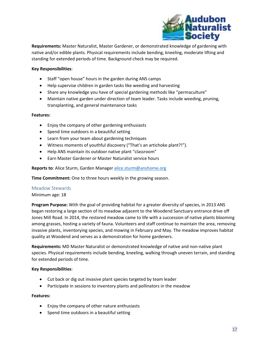

**Requirements:** Master Naturalist, Master Gardener, or demonstrated knowledge of gardening with native and/or edible plants. Physical requirements include bending, kneeling, moderate lifting and standing for extended periods of time. Background check may be required.

#### **Key Responsibilities**:

- Staff "open house" hours in the garden during ANS camps
- Help supervise children in garden tasks like weeding and harvesting
- Share any knowledge you have of special gardening methods like "permaculture"
- Maintain native garden under direction of team leader. Tasks include weeding, pruning, transplanting, and general maintenance tasks

#### **Features:**

- Enjoy the company of other gardening enthusiasts
- Spend time outdoors in a beautiful setting
- Learn from your team about gardening techniques
- Witness moments of youthful discovery ("That's an artichoke plant?!").
- Help ANS maintain its outdoor native plant "classroom"
- Earn Master Gardener or Master Naturalist service hours

**Reports to**: Alice Sturm, Garden Manager [alice.sturm@anshome.org](mailto:alice.sturm@anshome.org)

**Time Commitment:** One to three hours weekly in the growing season.

#### <span id="page-16-0"></span>Meadow Stewards

Minimum age: 18

**Program Purpose:** With the goal of providing habitat for a greater diversity of species, in 2013 ANS began restoring a large section of its meadow adjacent to the Woodend Sanctuary entrance drive off Jones Mill Road. In 2014, the restored meadow came to life with a succession of native plants blooming among grasses, hosting a variety of fauna. Volunteers and staff continue to maintain the area, removing invasive plants, inventorying species, and mowing in February and May. The meadow improves habitat quality at Woodend and serves as a demonstration for home gardeners.

**Requirements:** MD Master Naturalist or demonstrated knowledge of native and non-native plant species. Physical requirements include bending, kneeling, walking through uneven terrain, and standing for extended periods of time.

#### **Key Responsibilities**:

- Cut back or dig out invasive plant species targeted by team leader
- Participate in sessions to inventory plants and pollinators in the meadow

- Enjoy the company of other nature enthusiasts
- Spend time outdoors in a beautiful setting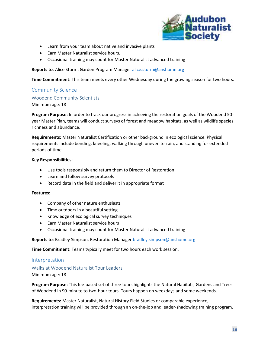

- Learn from your team about native and invasive plants
- Earn Master Naturalist service hours.
- Occasional training may count for Master Naturalist advanced training

**Reports to**: Alice Sturm, Garden Program Manager [alice.sturm@anshome.org](mailto:alice.sturm@anshome.org)

**Time Commitment:** This team meets every other Wednesday during the growing season for two hours.

#### <span id="page-17-0"></span>Community Science

#### <span id="page-17-1"></span>Woodend Community Scientists

Minimum age: 18

**Program Purpose:** In order to track our progress in achieving the restoration goals of the Woodend 50 year Master Plan, teams will conduct surveys of forest and meadow habitats, as well as wildlife species richness and abundance.

**Requirements:** Master Naturalist Certification or other background in ecological science. Physical requirements include bending, kneeling, walking through uneven terrain, and standing for extended periods of time.

#### **Key Responsibilities**:

- Use tools responsibly and return them to Director of Restoration
- Learn and follow survey protocols
- Record data in the field and deliver it in appropriate format

#### **Features:**

- Company of other nature enthusiasts
- Time outdoors in a beautiful setting
- Knowledge of ecological survey techniques
- Earn Master Naturalist service hours
- Occasional training may count for Master Naturalist advanced training

**Reports to**: Bradley Simpson, Restoration Manager [bradley.simpson@anshome.org](mailto:bradley.simpson@anshome.orgbrad)

**Time Commitment:** Teams typically meet for two hours each work session.

#### <span id="page-17-2"></span>Interpretation

# <span id="page-17-3"></span>Walks at Woodend Naturalist Tour Leaders

#### Minimum age: 18

**Program Purpose:** This fee-based set of three tours highlights the Natural Habitats, Gardens and Trees of Woodend in 90-minute to two-hour tours. Tours happen on weekdays and some weekends.

**Requirements:** Master Naturalist, Natural History Field Studies or comparable experience, interpretation training will be provided through an on-the-job and leader-shadowing training program.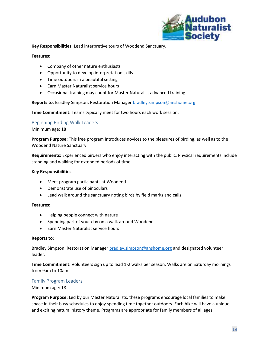

**Key Responsibilities**: Lead interpretive tours of Woodend Sanctuary.

#### **Features:**

- Company of other nature enthusiasts
- Opportunity to develop interpretation skills
- Time outdoors in a beautiful setting
- Earn Master Naturalist service hours
- Occasional training may count for Master Naturalist advanced training

**Reports to**: Bradley Simpson, Restoration Manager [bradley.simpson@anshome.org](mailto:Bradley.simpson@anshome.org)

**Time Commitment:** Teams typically meet for two hours each work session.

#### <span id="page-18-0"></span>Beginning Birding Walk Leaders

Minimum age: 18

**Program Purpose:** This free program introduces novices to the pleasures of birding, as well as to the Woodend Nature Sanctuary

**Requirements:** Experienced birders who enjoy interacting with the public. Physical requirements include standing and walking for extended periods of time.

#### **Key Responsibilities**:

- Meet program participants at Woodend
- Demonstrate use of binoculars
- Lead walk around the sanctuary noting birds by field marks and calls

#### **Features:**

- Helping people connect with nature
- Spending part of your day on a walk around Woodend
- Earn Master Naturalist service hours

#### **Reports to**:

Bradley Simpson, Restoration Manager [bradley.simpson@anshome.org](mailto:Bradley.simpson@anshome.org) and designated volunteer leader.

**Time Commitment:** Volunteers sign up to lead 1-2 walks per season. Walks are on Saturday mornings from 9am to 10am.

#### <span id="page-18-1"></span>Family Program Leaders

#### Minimum age: 18

**Program Purpose:** Led by our Master Naturalists, these programs encourage local families to make space in their busy schedules to enjoy spending time together outdoors. Each hike will have a unique and exciting natural history theme. Programs are appropriate for family members of all ages.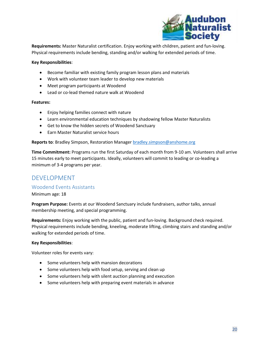

**Requirements:** Master Naturalist certification. Enjoy working with children, patient and fun-loving. Physical requirements include bending, standing and/or walking for extended periods of time.

#### **Key Responsibilities**:

- Become familiar with existing family program lesson plans and materials
- Work with volunteer team leader to develop new materials
- Meet program participants at Woodend
- Lead or co-lead themed nature walk at Woodend

#### **Features:**

- Enjoy helping families connect with nature
- Learn environmental education techniques by shadowing fellow Master Naturalists
- Get to know the hidden secrets of Woodend Sanctuary
- Earn Master Naturalist service hours

**Reports to**: Bradley Simpson, Restoration Manager [bradley.simpson@anshome.org](mailto:Bradley.simpson@anshome.org)

**Time Commitment:** Programs run the first Saturday of each month from 9-10 am. Volunteers shall arrive 15 minutes early to meet participants. Ideally, volunteers will commit to leading or co-leading a minimum of 3-4 programs per year.

# <span id="page-19-0"></span>DEVELOPMENT

#### <span id="page-19-1"></span>Woodend Events Assistants

Minimum age: 18

**Program Purpose:** Events at our Woodend Sanctuary include fundraisers, author talks, annual membership meeting, and special programming.

**Requirements:** Enjoy working with the public, patient and fun-loving. Background check required. Physical requirements include bending, kneeling, moderate lifting, climbing stairs and standing and/or walking for extended periods of time.

#### **Key Responsibilities**:

Volunteer roles for events vary:

- Some volunteers help with mansion decorations
- Some volunteers help with food setup, serving and clean up
- Some volunteers help with silent auction planning and execution
- Some volunteers help with preparing event materials in advance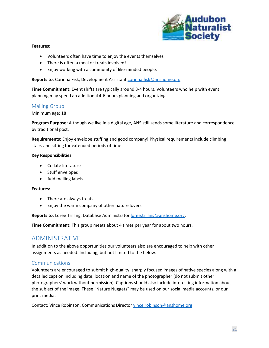

#### **Features:**

- Volunteers often have time to enjoy the events themselves
- There is often a meal or treats involved!
- Enjoy working with a community of like-minded people.

**Reports to**: Corinna Fisk, Development Assistant [corinna.fisk@anshome.org](mailto:corinna.fisk@anshome.org)

**Time Commitment:** Event shifts are typically around 3-4 hours. Volunteers who help with event planning may spend an additional 4-6 hours planning and organizing.

#### <span id="page-20-0"></span>Mailing Group

#### Minimum age: 18

**Program Purpose:** Although we live in a digital age, ANS still sends some literature and correspondence by traditional post.

**Requirements:** Enjoy envelope stuffing and good company! Physical requirements include climbing stairs and sitting for extended periods of time.

#### **Key Responsibilities**:

- Collate literature
- Stuff envelopes
- Add mailing labels

#### **Features:**

- There are always treats!
- Enjoy the warm company of other nature lovers

**Reports to**: Loree Trilling, Database Administrator [loree.trilling@anshome.org.](mailto:loree.trilling@anshome.org)

**Time Commitment:** This group meets about 4 times per year for about two hours.

## <span id="page-20-1"></span>ADMINISTRATIVE

In addition to the above opportunities our volunteers also are encouraged to help with other assignments as needed. Including, but not limited to the below.

#### <span id="page-20-2"></span>Communications

Volunteers are encouraged to submit high-quality, sharply focused images of native species along with a detailed caption including date, location and name of the photographer (do not submit other photographers' work without permission). Captions should also include interesting information about the subject of the image. These "Nature Nuggets" may be used on our social media accounts, or our print media.

Contact: Vince Robinson, Communications Director [vince.robinson@anshome.org](mailto:vince.robinson@anshome.org)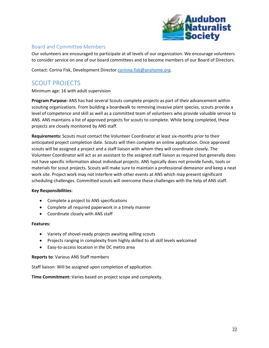

## <span id="page-21-0"></span>Board and Committee Members

Our volunteers are encouraged to participate at all levels of our organization. We encourage volunteers to consider service on one of our board committees and to become members of our Board of Directors.

Contact: Corina Fisk, Development Director [corinna.fisk@anshome.org.](mailto:corinna.fisk@anshome.org)

# <span id="page-21-1"></span>SCOUT PROJECTS

Minimum age: 16 with adult supervision

**Program Purpose:** ANS has had several Scouts complete projects as part of their advancement within scouting organizations. From building a boardwalk to removing invasive plant species, scouts provide a level of competence and skill as well as a committed team of volunteers who provide valuable service to ANS. ANS maintains a list of approved projects for scouts to complete. While being completed, these projects are closely monitored by ANS staff.

**Requirements:** Scouts must contact the Volunteer Coordinator at least six-months prior to their anticipated project completion date. Scouts will then complete an online application. Once approved scouts will be assigned a project and a staff liaison with whom they will coordinate closely. The Volunteer Coordinator will act as an assistant to the assigned staff liaison as required but generally does not have specific information about individual projects. ANS typically does not provide funds, tools or materials for scout projects. Scouts will make sure to maintain a professional demeanor and keep a neat work site. Project work may not interfere with other events at ANS which may present significant scheduling challenges. Committed scouts will overcome these challenges with the help of ANS staff.

#### **Key Responsibilities**:

- Complete a project to ANS specifications
- Complete all required paperwork in a timely manner
- Coordinate closely with ANS staff

#### **Features:**

- Variety of shovel-ready projects awaiting willing scouts
- Projects ranging in complexity from highly skilled to all skill levels welcomed
- Easy-to-access location in the DC metro area

#### **Reports to**: Various ANS Staff members

Staff liaison: Will be assigned upon completion of application.

**Time Commitment:** Varies based on project scope and complexity.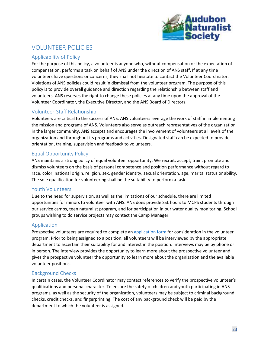

# <span id="page-22-0"></span>VOLUNTEER POLICIES

## <span id="page-22-1"></span>Applicability of Policy

For the purpose of this policy, a volunteer is anyone who, without compensation or the expectation of compensation, performs a task on behalf of ANS under the direction of ANS staff. If at any time volunteers have questions or concerns, they shall not hesitate to contact the Volunteer Coordinator. Violations of ANS policies could result in dismissal from the volunteer program. The purpose of this policy is to provide overall guidance and direction regarding the relationship between staff and volunteers. ANS reserves the right to change these policies at any time upon the approval of the Volunteer Coordinator, the Executive Director, and the ANS Board of Directors.

## <span id="page-22-2"></span>Volunteer-Staff Relationship

Volunteers are critical to the success of ANS. ANS volunteers leverage the work of staff in implementing the mission and programs of ANS. Volunteers also serve as outreach representatives of the organization in the larger community. ANS accepts and encourages the involvement of volunteers at all levels of the organization and throughout its programs and activities. Designated staff can be expected to provide orientation, training, supervision and feedback to volunteers.

## <span id="page-22-3"></span>Equal Opportunity Policy

ANS maintains a strong policy of equal volunteer opportunity. We recruit, accept, train, promote and dismiss volunteers on the basis of personal competence and position performance without regard to race, color, national origin, religion, sex, gender identity, sexual orientation, age, marital status or ability. The sole qualification for volunteering shall be the suitability to perform a task.

## <span id="page-22-4"></span>Youth Volunteers

Due to the need for supervision, as well as the limitations of our schedule, there are limited opportunities for minors to volunteer with ANS. ANS does provide SSL hours to MCPS students through our service camps, teen naturalist program, and for participation in our water quality monitoring. School groups wishing to do service projects may contact the Camp Manager.

## <span id="page-22-5"></span>Application

Prospective volunteers are required to complete an [application form](http://www.anshome.org/volunteer) for consideration in the volunteer program. Prior to being assigned to a position, all volunteers will be interviewed by the appropriate department to ascertain their suitability for and interest in the position. Interviews may be by phone or in person. The interview provides the opportunity to learn more about the prospective volunteer and gives the prospective volunteer the opportunity to learn more about the organization and the available volunteer positions.

## <span id="page-22-6"></span>Background Checks

In certain cases, the Volunteer Coordinator may contact references to verify the prospective volunteer's qualifications and personal character. To ensure the safety of children and youth participating in ANS programs, as well as the security of the organization, volunteers may be subject to criminal background checks, credit checks, and fingerprinting. The cost of any background check will be paid by the department to which the volunteer is assigned.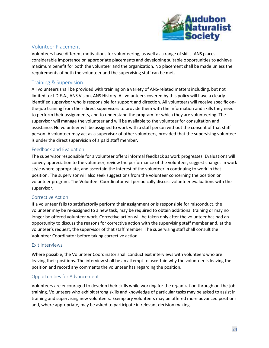

## <span id="page-23-0"></span>Volunteer Placement

Volunteers have different motivations for volunteering, as well as a range of skills. ANS places considerable importance on appropriate placements and developing suitable opportunities to achieve maximum benefit for both the volunteer and the organization. No placement shall be made unless the requirements of both the volunteer and the supervising staff can be met.

## <span id="page-23-1"></span>Training & Supervision

All volunteers shall be provided with training on a variety of ANS-related matters including, but not limited to: I.D.E.A., ANS Vision, ANS History. All volunteers covered by this policy will have a clearly identified supervisor who is responsible for support and direction. All volunteers will receive specific onthe-job training from their direct supervisors to provide them with the information and skills they need to perform their assignments, and to understand the program for which they are volunteering. The supervisor will manage the volunteer and will be available to the volunteer for consultation and assistance. No volunteer will be assigned to work with a staff person without the consent of that staff person. A volunteer may act as a supervisor of other volunteers, provided that the supervising volunteer is under the direct supervision of a paid staff member.

## <span id="page-23-2"></span>Feedback and Evaluation

The supervisor responsible for a volunteer offers informal feedback as work progresses. Evaluations will convey appreciation to the volunteer, review the performance of the volunteer, suggest changes in work style where appropriate, and ascertain the interest of the volunteer in continuing to work in that position. The supervisor will also seek suggestions from the volunteer concerning the position or volunteer program. The Volunteer Coordinator will periodically discuss volunteer evaluations with the supervisor.

#### <span id="page-23-3"></span>Corrective Action

If a volunteer fails to satisfactorily perform their assignment or is responsible for misconduct, the volunteer may be re-assigned to a new task, may be required to obtain additional training or may no longer be offered volunteer work. Corrective action will be taken only after the volunteer has had an opportunity to discuss the reasons for corrective action with the supervising staff member and, at the volunteer's request, the supervisor of that staff member. The supervising staff shall consult the Volunteer Coordinator before taking corrective action.

#### <span id="page-23-4"></span>Exit Interviews

Where possible, the Volunteer Coordinator shall conduct exit interviews with volunteers who are leaving their positions. The interview shall be an attempt to ascertain why the volunteer is leaving the position and record any comments the volunteer has regarding the position.

#### <span id="page-23-5"></span>Opportunities for Advancement

Volunteers are encouraged to develop their skills while working for the organization through on-the-job training. Volunteers who exhibit strong skills and knowledge of particular tasks may be asked to assist in training and supervising new volunteers. Exemplary volunteers may be offered more advanced positions and, where appropriate, may be asked to participate in relevant decision making.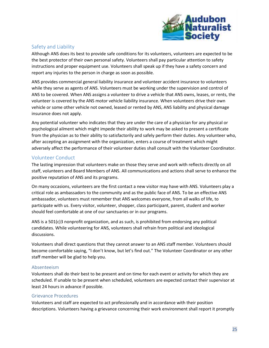

## <span id="page-24-0"></span>Safety and Liability

Although ANS does its best to provide safe conditions for its volunteers, volunteers are expected to be the best protector of their own personal safety. Volunteers shall pay particular attention to safety instructions and proper equipment use. Volunteers shall speak up if they have a safety concern and report any injuries to the person in charge as soon as possible.

ANS provides commercial general liability insurance and volunteer accident insurance to volunteers while they serve as agents of ANS. Volunteers must be working under the supervision and control of ANS to be covered. When ANS assigns a volunteer to drive a vehicle that ANS owns, leases, or rents, the volunteer is covered by the ANS motor vehicle liability insurance. When volunteers drive their own vehicle or some other vehicle not owned, leased or rented by ANS, ANS liability and physical damage insurance does not apply.

Any potential volunteer who indicates that they are under the care of a physician for any physical or psychological ailment which might impede their ability to work may be asked to present a certificate from the physician as to their ability to satisfactorily and safely perform their duties. Any volunteer who, after accepting an assignment with the organization, enters a course of treatment which might adversely affect the performance of their volunteer duties shall consult with the Volunteer Coordinator.

## <span id="page-24-1"></span>Volunteer Conduct

The lasting impression that volunteers make on those they serve and work with reflects directly on all staff, volunteers and Board Members of ANS. All communications and actions shall serve to enhance the positive reputation of ANS and its programs.

On many occasions, volunteers are the first contact a new visitor may have with ANS. Volunteers play a critical role as ambassadors to the community and as the public face of ANS. To be an effective ANS ambassador, volunteers must remember that ANS welcomes everyone, from all walks of life, to participate with us. Every visitor, volunteer, shopper, class participant, parent, student and worker should feel comfortable at one of our sanctuaries or in our programs.

ANS is a 501(c)3 nonprofit organization, and as such, is prohibited from endorsing any political candidates. While volunteering for ANS, volunteers shall refrain from political and ideological discussions.

Volunteers shall direct questions that they cannot answer to an ANS staff member. Volunteers should become comfortable saying, "I don't know, but let's find out." The Volunteer Coordinator or any other staff member will be glad to help you.

## <span id="page-24-2"></span>Absenteeism

Volunteers shall do their best to be present and on time for each event or activity for which they are scheduled. If unable to be present when scheduled, volunteers are expected contact their supervisor at least 24 hours in advance if possible.

## <span id="page-24-3"></span>Grievance Procedures

Volunteers and staff are expected to act professionally and in accordance with their position descriptions. Volunteers having a grievance concerning their work environment shall report it promptly